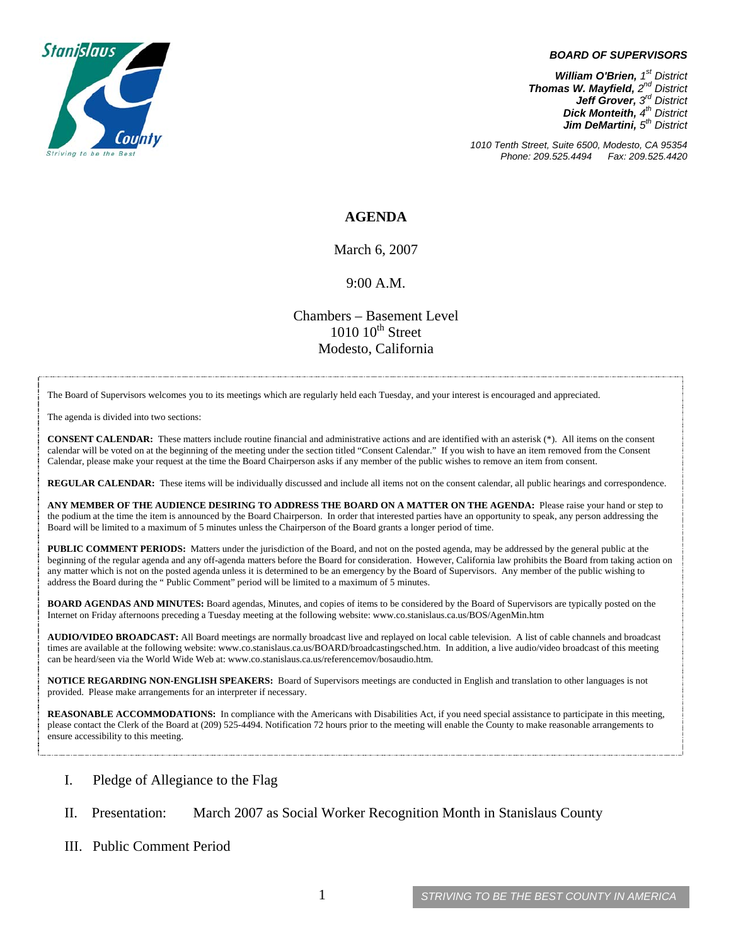

#### *BOARD OF SUPERVISORS*

*William O'Brien, 1<sup>st</sup> District Thomas W. Mayfield, 2nd District Jeff Grover, 3rd District Dick Monteith, 4th District Jim DeMartini, 5th District*

*1010 Tenth Street, Suite 6500, Modesto, CA 95354 Phone: 209.525.4494 Fax: 209.525.4420*

#### **AGENDA**

March 6, 2007

9:00 A.M.

Chambers – Basement Level  $1010~10^{\text{th}}$  Street Modesto, California

The Board of Supervisors welcomes you to its meetings which are regularly held each Tuesday, and your interest is encouraged and appreciated.

The agenda is divided into two sections:

**CONSENT CALENDAR:** These matters include routine financial and administrative actions and are identified with an asterisk (\*). All items on the consent calendar will be voted on at the beginning of the meeting under the section titled "Consent Calendar." If you wish to have an item removed from the Consent Calendar, please make your request at the time the Board Chairperson asks if any member of the public wishes to remove an item from consent.

**REGULAR CALENDAR:** These items will be individually discussed and include all items not on the consent calendar, all public hearings and correspondence.

**ANY MEMBER OF THE AUDIENCE DESIRING TO ADDRESS THE BOARD ON A MATTER ON THE AGENDA:** Please raise your hand or step to the podium at the time the item is announced by the Board Chairperson. In order that interested parties have an opportunity to speak, any person addressing the Board will be limited to a maximum of 5 minutes unless the Chairperson of the Board grants a longer period of time.

**PUBLIC COMMENT PERIODS:** Matters under the jurisdiction of the Board, and not on the posted agenda, may be addressed by the general public at the beginning of the regular agenda and any off-agenda matters before the Board for consideration. However, California law prohibits the Board from taking action on any matter which is not on the posted agenda unless it is determined to be an emergency by the Board of Supervisors. Any member of the public wishing to address the Board during the " Public Comment" period will be limited to a maximum of 5 minutes.

**BOARD AGENDAS AND MINUTES:** Board agendas, Minutes, and copies of items to be considered by the Board of Supervisors are typically posted on the Internet on Friday afternoons preceding a Tuesday meeting at the following website: www.co.stanislaus.ca.us/BOS/AgenMin.htm

**AUDIO/VIDEO BROADCAST:** All Board meetings are normally broadcast live and replayed on local cable television. A list of cable channels and broadcast times are available at the following website: www.co.stanislaus.ca.us/BOARD/broadcastingsched.htm. In addition, a live audio/video broadcast of this meeting can be heard/seen via the World Wide Web at: www.co.stanislaus.ca.us/referencemov/bosaudio.htm.

**NOTICE REGARDING NON-ENGLISH SPEAKERS:** Board of Supervisors meetings are conducted in English and translation to other languages is not provided. Please make arrangements for an interpreter if necessary.

**REASONABLE ACCOMMODATIONS:** In compliance with the Americans with Disabilities Act, if you need special assistance to participate in this meeting, please contact the Clerk of the Board at (209) 525-4494. Notification 72 hours prior to the meeting will enable the County to make reasonable arrangements to ensure accessibility to this meeting.

- I. Pledge of Allegiance to the Flag
- II. Presentation: March 2007 as Social Worker Recognition Month in Stanislaus County
- III. Public Comment Period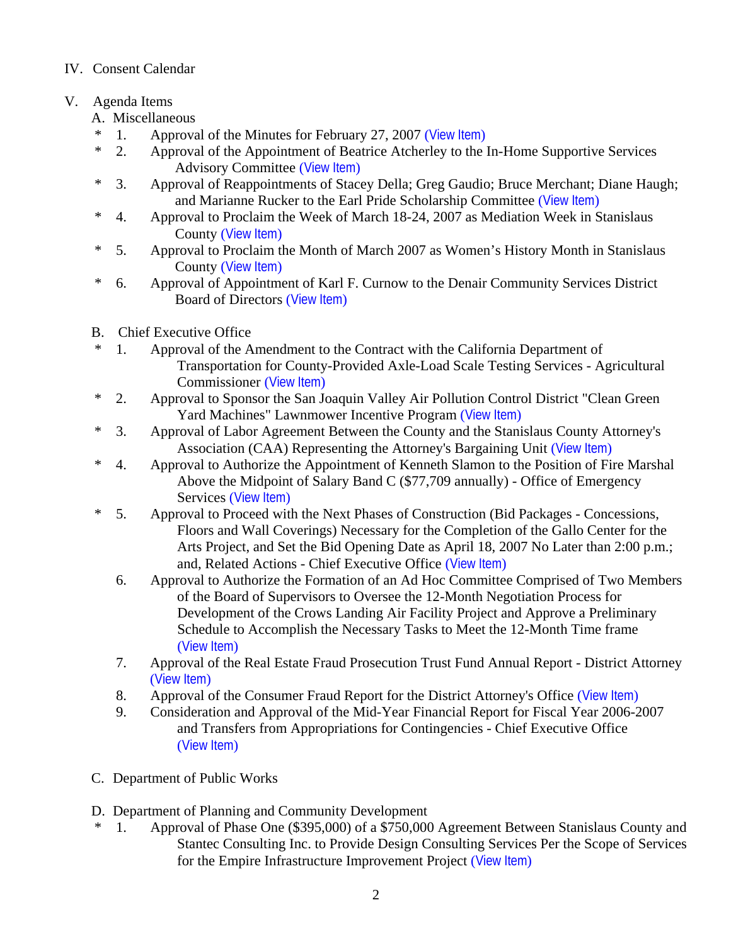# IV. Consent Calendar

# V. Agenda Items

- A. Miscellaneous
- \* 1. Approval of the Minutes for February 27, 2007 ([View Item](http://www.co.stanislaus.ca.us/BOS/MINUTES/2007/min02-27-07.pdf))
- \* 2. Approval of the Appointment of Beatrice Atcherley to the In-Home Supportive Services Advisory Committee ([View Item](http://www.co.stanislaus.ca.us/BOS/Agenda/2007/20070306/A02.pdf))
- \* 3. Approval of Reappointments of Stacey Della; Greg Gaudio; Bruce Merchant; Diane Haugh; and Marianne Rucker to the Earl Pride Scholarship Committee ([View Item](http://www.co.stanislaus.ca.us/BOS/Agenda/2007/20070306/A03.pdf))
- \* 4. Approval to Proclaim the Week of March 18-24, 2007 as Mediation Week in Stanislaus County ([View Item](http://www.co.stanislaus.ca.us/BOS/Agenda/2007/20070306/A04.pdf))
- \* 5. Approval to Proclaim the Month of March 2007 as Women's History Month in Stanislaus County ([View Item](http://www.co.stanislaus.ca.us/BOS/Agenda/2007/20070306/A05.pdf))
- \* 6. Approval of Appointment of Karl F. Curnow to the Denair Community Services District Board of Directors ([View Item](http://www.co.stanislaus.ca.us/BOS/Agenda/2007/20070306/A06.pdf))
- B. Chief Executive Office
- 1. Approval of the Amendment to the Contract with the California Department of Transportation for County-Provided Axle-Load Scale Testing Services - Agricultural Commissioner ([View Item](http://www.co.stanislaus.ca.us/BOS/Agenda/2007/20070306/B01.pdf))
- \* 2. Approval to Sponsor the San Joaquin Valley Air Pollution Control District "Clean Green Yard Machines" Lawnmower Incentive Program ([View Item](http://www.co.stanislaus.ca.us/BOS/Agenda/2007/20070306/B02.pdf))
- \* 3. Approval of Labor Agreement Between the County and the Stanislaus County Attorney's Association (CAA) Representing the Attorney's Bargaining Unit ([View Item](http://www.co.stanislaus.ca.us/BOS/Agenda/2007/20070306/B03.pdf))
- \* 4. Approval to Authorize the Appointment of Kenneth Slamon to the Position of Fire Marshal Above the Midpoint of Salary Band C (\$77,709 annually) - Office of Emergency Services ([View Item](http://www.co.stanislaus.ca.us/BOS/Agenda/2007/20070306/B04.pdf))
- \* 5. Approval to Proceed with the Next Phases of Construction (Bid Packages Concessions, Floors and Wall Coverings) Necessary for the Completion of the Gallo Center for the Arts Project, and Set the Bid Opening Date as April 18, 2007 No Later than 2:00 p.m.; and, Related Actions - Chief Executive Office ([View Item](http://www.co.stanislaus.ca.us/BOS/Agenda/2007/20070306/B05.pdf))
	- 6. Approval to Authorize the Formation of an Ad Hoc Committee Comprised of Two Members of the Board of Supervisors to Oversee the 12-Month Negotiation Process for Development of the Crows Landing Air Facility Project and Approve a Preliminary Schedule to Accomplish the Necessary Tasks to Meet the 12-Month Time frame ([View Item](http://www.co.stanislaus.ca.us/BOS/Agenda/2007/20070306/B06.pdf))
	- 7. Approval of the Real Estate Fraud Prosecution Trust Fund Annual Report District Attorney ([View Item](http://www.co.stanislaus.ca.us/BOS/Agenda/2007/20070306/B07.pdf))
	- 8. Approval of the Consumer Fraud Report for the District Attorney's Office ([View Item](http://www.co.stanislaus.ca.us/BOS/Agenda/2007/20070306/B08.pdf))
	- 9. Consideration and Approval of the Mid-Year Financial Report for Fiscal Year 2006-2007 and Transfers from Appropriations for Contingencies - Chief Executive Office ([View Item](http://www.co.stanislaus.ca.us/BOS/Agenda/2007/20070306/B09.pdf))
- C. Department of Public Works
- D. Department of Planning and Community Development
- 1. Approval of Phase One (\$395,000) of a \$750,000 Agreement Between Stanislaus County and Stantec Consulting Inc. to Provide Design Consulting Services Per the Scope of Services for the Empire Infrastructure Improvement Project ([View Item](http://www.co.stanislaus.ca.us/BOS/Agenda/2007/20070306/D01.pdf))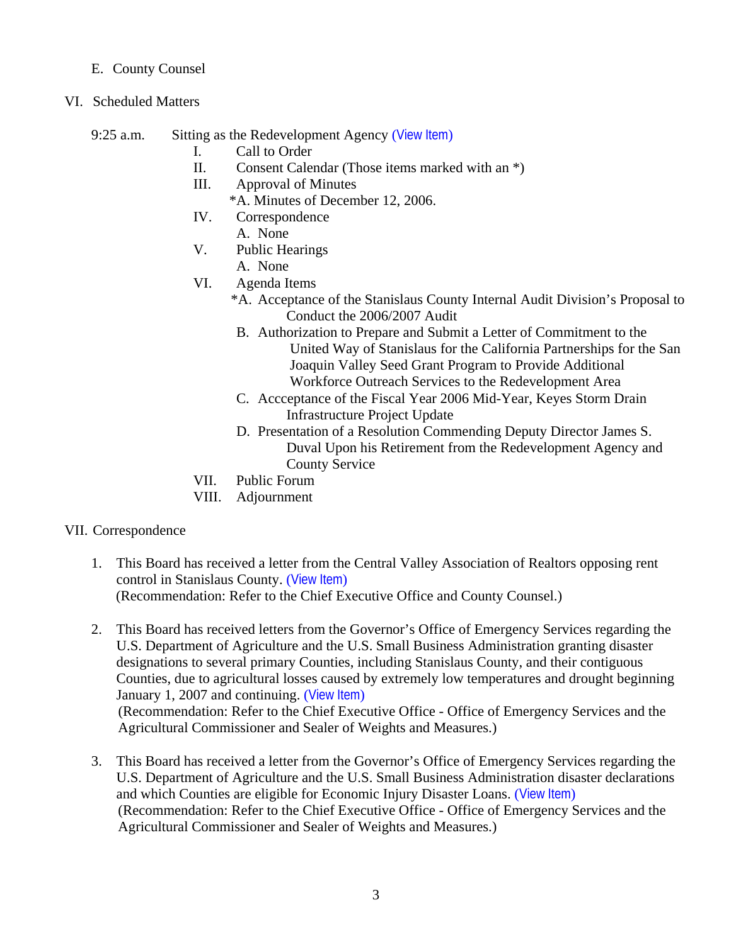## E. County Counsel

- VI. Scheduled Matters
	- 9:25 a.m. Sitting as the Redevelopment Agency ([View Item](http://www.co.stanislaus.ca.us/BOS/Agenda/2007/20070306/PH925.pdf))
		- I. Call to Order
		- II. Consent Calendar (Those items marked with an \*)
		- III. Approval of Minutes
			- \*A. Minutes of December 12, 2006.
		- IV. Correspondence A. None
		- V. Public Hearings
			- A. None
		- VI. Agenda Items
			- \*A. Acceptance of the Stanislaus County Internal Audit Division's Proposal to Conduct the 2006/2007 Audit
			- B. Authorization to Prepare and Submit a Letter of Commitment to the United Way of Stanislaus for the California Partnerships for the San Joaquin Valley Seed Grant Program to Provide Additional Workforce Outreach Services to the Redevelopment Area
			- C. Accceptance of the Fiscal Year 2006 Mid-Year, Keyes Storm Drain Infrastructure Project Update
			- D. Presentation of a Resolution Commending Deputy Director James S. Duval Upon his Retirement from the Redevelopment Agency and County Service
		- VII. Public Forum
		- VIII. Adjournment

## VII. Correspondence

- 1. This Board has received a letter from the Central Valley Association of Realtors opposing rent control in Stanislaus County. ([View Item](http://www.co.stanislaus.ca.us/BOS/Agenda/2007/20070306/Corr01.pdf)) (Recommendation: Refer to the Chief Executive Office and County Counsel.)
- 2. This Board has received letters from the Governor's Office of Emergency Services regarding the U.S. Department of Agriculture and the U.S. Small Business Administration granting disaster designations to several primary Counties, including Stanislaus County, and their contiguous Counties, due to agricultural losses caused by extremely low temperatures and drought beginning January 1, 2007 and continuing. ([View Item](http://www.co.stanislaus.ca.us/BOS/Agenda/2007/20070306/Corr02.pdf)) (Recommendation: Refer to the Chief Executive Office - Office of Emergency Services and the

Agricultural Commissioner and Sealer of Weights and Measures.)

3. This Board has received a letter from the Governor's Office of Emergency Services regarding the U.S. Department of Agriculture and the U.S. Small Business Administration disaster declarations and which Counties are eligible for Economic Injury Disaster Loans. ([View Item](http://www.co.stanislaus.ca.us/BOS/Agenda/2007/20070306/Corr03.pdf)) (Recommendation: Refer to the Chief Executive Office - Office of Emergency Services and the Agricultural Commissioner and Sealer of Weights and Measures.)